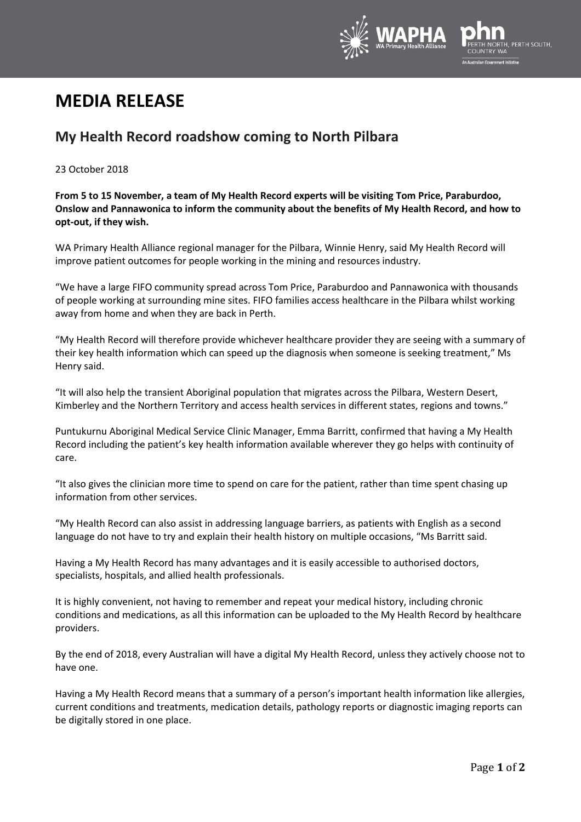

# **MEDIA RELEASE**

## **My Health Record roadshow coming to North Pilbara**

## 23 October 2018

**From 5 to 15 November, a team of My Health Record experts will be visiting Tom Price, Paraburdoo, Onslow and Pannawonica to inform the community about the benefits of My Health Record, and how to opt-out, if they wish.**

WA Primary Health Alliance regional manager for the Pilbara, Winnie Henry, said My Health Record will improve patient outcomes for people working in the mining and resources industry.

"We have a large FIFO community spread across Tom Price, Paraburdoo and Pannawonica with thousands of people working at surrounding mine sites. FIFO families access healthcare in the Pilbara whilst working away from home and when they are back in Perth.

"My Health Record will therefore provide whichever healthcare provider they are seeing with a summary of their key health information which can speed up the diagnosis when someone is seeking treatment," Ms Henry said.

"It will also help the transient Aboriginal population that migrates across the Pilbara, Western Desert, Kimberley and the Northern Territory and access health services in different states, regions and towns."

Puntukurnu Aboriginal Medical Service Clinic Manager, Emma Barritt, confirmed that having a My Health Record including the patient's key health information available wherever they go helps with continuity of care.

"It also gives the clinician more time to spend on care for the patient, rather than time spent chasing up information from other services.

"My Health Record can also assist in addressing language barriers, as patients with English as a second language do not have to try and explain their health history on multiple occasions, "Ms Barritt said.

Having a My Health Record has many advantages and it is easily accessible to authorised doctors, specialists, hospitals, and allied health professionals.

It is highly convenient, not having to remember and repeat your medical history, including chronic conditions and medications, as all this information can be uploaded to the My Health Record by healthcare providers.

By the end of 2018, every Australian will have a digital My Health Record, unless they actively choose not to have one.

Having a My Health Record means that a summary of a person's important health information like allergies, current conditions and treatments, medication details, pathology reports or diagnostic imaging reports can be digitally stored in one place.